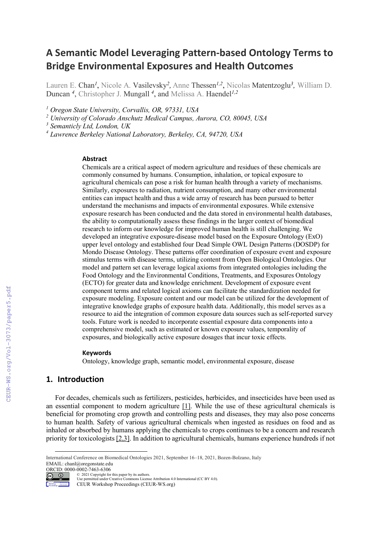# **A Semantic Model Leveraging Pattern-based Ontology Terms to Bridge Environmental Exposures and Health Outcomes**

Lauren E. Chan*<sup>1</sup>* , Nicole A. Vasilevsky*2,* Anne Thessen*1,2*, Nicolas Matentzoglu*3,* William D. Duncan *<sup>4</sup>* , Christopher J. Mungall *<sup>4</sup>* , and Melissa A. Haendel*1,2*

*<sup>1</sup> Oregon State University, Corvallis, OR, 97331, USA*

*<sup>2</sup> University of Colorado Anschutz Medical Campus, Aurora, CO, 80045, USA*

*<sup>3</sup> Semanticly Ltd, London, UK*

*<sup>4</sup> Lawrence Berkeley National Laboratory, Berkeley, CA, 94720, USA*

### **Abstract**

Chemicals are a critical aspect of modern agriculture and residues of these chemicals are commonly consumed by humans. Consumption, inhalation, or topical exposure to agricultural chemicals can pose a risk for human health through a variety of mechanisms. Similarly, exposures to radiation, nutrient consumption, and many other environmental entities can impact health and thus a wide array of research has been pursued to better understand the mechanisms and impacts of environmental exposures. While extensive exposure research has been conducted and the data stored in environmental health databases, the ability to computationally assess these findings in the larger context of biomedical research to inform our knowledge for improved human health is still challenging. We developed an integrative exposure-disease model based on the Exposure Ontology (ExO) upper level ontology and established four Dead Simple OWL Design Patterns (DOSDP) for Mondo Disease Ontology. These patterns offer coordination of exposure event and exposure stimulus terms with disease terms, utilizing content from Open Biological Ontologies. Our model and pattern set can leverage logical axioms from integrated ontologies including the Food Ontology and the Environmental Conditions, Treatments, and Exposures Ontology (ECTO) for greater data and knowledge enrichment. Development of exposure event component terms and related logical axioms can facilitate the standardization needed for exposure modeling. Exposure content and our model can be utilized for the development of integrative knowledge graphs of exposure health data. Additionally, this model serves as a resource to aid the integration of common exposure data sources such as self-reported survey tools. Future work is needed to incorporate essential exposure data components into a comprehensive model, such as estimated or known exposure values, temporality of exposures, and biologically active exposure dosages that incur toxic effects.

### **Keywords**

Ontology, knowledge graph, semantic model, environmental exposure, disease

# **1. Introduction**

For decades, chemicals such as fertilizers, pesticides, herbicides, and insecticides have been used as an essential component to modern agriculture [1]. While the use of these agricultural chemicals is beneficial for promoting crop growth and controlling pests and diseases, they may also pose concerns to human health. Safety of various agricultural chemicals when ingested as residues on food and as inhaled or absorbed by humans applying the chemicals to crops continues to be a concern and research priority for toxicologists [2,3]. In addition to agricultural chemicals, humans experience hundreds if not

Workshop Proceedings CEUR Workshop Proceedings (CEUR-WS.org)

International Conference on Biomedical Ontologies 2021, September 16–18, 2021, Bozen-Bolzano, Italy EMAIL: chanl@oregonstate.edu

ORCID: 0000-0002-7463-6306  $\circ$   $\circ$ 

<sup>©</sup> 2021 Copyright for this paper by its authors. Use permitted under Creative Commons License Attribution 4.0 International (CC BY 4.0).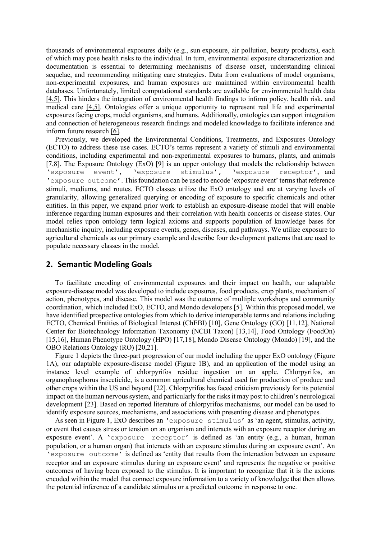thousands of environmental exposures daily (e.g., sun exposure, air pollution, beauty products), each of which may pose health risks to the individual. In turn, environmental exposure characterization and documentation is essential to determining mechanisms of disease onset, understanding clinical sequelae, and recommending mitigating care strategies. Data from evaluations of model organisms, non-experimental exposures, and human exposures are maintained within environmental health databases. Unfortunately, limited computational standards are available for environmental health data [4,5]. This hinders the integration of environmental health findings to inform policy, health risk, and medical care [4,5]. Ontologies offer a unique opportunity to represent real life and experimental exposures facing crops, model organisms, and humans. Additionally, ontologies can support integration and connection of heterogeneous research findings and modeled knowledge to facilitate inference and inform future research [6].

Previously, we developed the Environmental Conditions, Treatments, and Exposures Ontology (ECTO) to address these use cases. ECTO's terms represent a variety of stimuli and environmental conditions, including experimental and non-experimental exposures to humans, plants, and animals [7,8]. The Exposure Ontology (ExO) [9] is an upper ontology that models the relationship between 'exposure event', 'exposure stimulus', 'exposure receptor', and 'exposure outcome'. This foundation can be used to encode 'exposure event' terms that reference stimuli, mediums, and routes. ECTO classes utilize the ExO ontology and are at varying levels of granularity, allowing generalized querying or encoding of exposure to specific chemicals and other entities. In this paper, we expand prior work to establish an exposure-disease model that will enable inference regarding human exposures and their correlation with health concerns or disease states. Our model relies upon ontology term logical axioms and supports population of knowledge bases for mechanistic inquiry, including exposure events, genes, diseases, and pathways. We utilize exposure to agricultural chemicals as our primary example and describe four development patterns that are used to populate necessary classes in the model.

# **2. Semantic Modeling Goals**

To facilitate encoding of environmental exposures and their impact on health, our adaptable exposure-disease model was developed to include exposures, food products, crop plants, mechanism of action, phenotypes, and disease. This model was the outcome of multiple workshops and community coordination, which included ExO, ECTO, and Mondo developers [5]. Within this proposed model, we have identified prospective ontologies from which to derive interoperable terms and relations including ECTO, Chemical Entities of Biological Interest (ChEBI) [10], Gene Ontology (GO) [11,12], National Center for Biotechnology Information Taxonomy (NCBI Taxon) [13,14], Food Ontology (FoodOn) [15,16], Human Phenotype Ontology (HPO) [17,18], Mondo Disease Ontology (Mondo) [19], and the OBO Relations Ontology (RO) [20,21].

Figure 1 depicts the three-part progression of our model including the upper ExO ontology (Figure 1A), our adaptable exposure-disease model (Figure 1B), and an application of the model using an instance level example of chlorpyrifos residue ingestion on an apple. Chlorpyrifos, an organophosphorus insecticide, is a common agricultural chemical used for production of produce and other crops within the US and beyond [22]. Chlorpyrifos has faced criticism previously for its potential impact on the human nervous system, and particularly for the risks it may post to children's neurological development [23]. Based on reported literature of chlorpyrifos mechanisms, our model can be used to identify exposure sources, mechanisms, and associations with presenting disease and phenotypes.

As seen in Figure 1, ExO describes an 'exposure stimulus' as 'an agent, stimulus, activity, or event that causes stress or tension on an organism and interacts with an exposure receptor during an exposure event'. A 'exposure receptor' is defined as 'an entity (e.g., a human, human population, or a human organ) that interacts with an exposure stimulus during an exposure event'. An 'exposure outcome' is defined as 'entity that results from the interaction between an exposure receptor and an exposure stimulus during an exposure event' and represents the negative or positive outcomes of having been exposed to the stimulus. It is important to recognize that it is the axioms encoded within the model that connect exposure information to a variety of knowledge that then allows the potential inference of a candidate stimulus or a predicted outcome in response to one.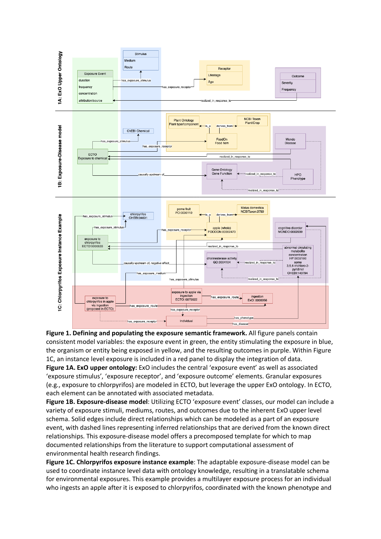

**Figure 1. Defining and populating the exposure semantic framework.** All figure panels contain consistent model variables: the exposure event in green, the entity stimulating the exposure in blue, the organism or entity being exposed in yellow, and the resulting outcomes in purple. Within Figure 1C, an instance level exposure is included in a red panel to display the integration of data. **Figure 1A. ExO upper ontology:** ExO includes the central 'exposure event' as well as associated 'exposure stimulus', 'exposure receptor', and 'exposure outcome' elements. Granular exposures (e.g., exposure to chlorpyrifos) are modeled in ECTO, but leverage the upper ExO ontology. In ECTO, each element can be annotated with associated metadata.

**Figure 1B. Exposure-disease model**: Utilizing ECTO 'exposure event' classes, our model can include a variety of exposure stimuli, mediums, routes, and outcomes due to the inherent ExO upper level schema. Solid edges include direct relationships which can be modeled as a part of an exposure event, with dashed lines representing inferred relationships that are derived from the known direct relationships. This exposure-disease model offers a precomposed template for which to map documented relationships from the literature to support computational assessment of environmental health research findings.

**Figure 1C. Chlorpyrifos exposure instance example**: The adaptable exposure-disease model can be used to coordinate instance level data with ontology knowledge, resulting in a translatable schema for environmental exposures. This example provides a multilayer exposure process for an individual who ingests an apple after it is exposed to chlorpyrifos, coordinated with the known phenotype and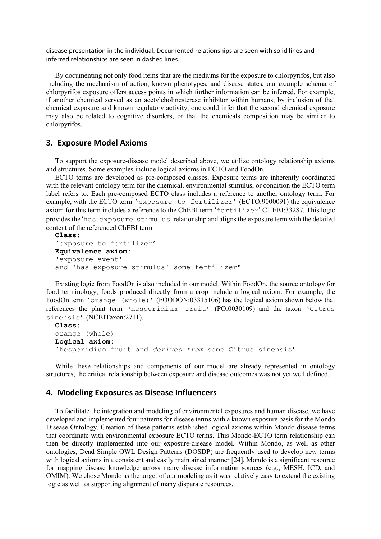disease presentation in the individual. Documented relationships are seen with solid lines and inferred relationships are seen in dashed lines.

By documenting not only food items that are the mediums for the exposure to chlorpyrifos, but also including the mechanism of action, known phenotypes, and disease states, our example schema of chlorpyrifos exposure offers access points in which further information can be inferred. For example, if another chemical served as an acetylcholinesterase inhibitor within humans, by inclusion of that chemical exposure and known regulatory activity, one could infer that the second chemical exposure may also be related to cognitive disorders, or that the chemicals composition may be similar to chlorpyrifos.

# **3. Exposure Model Axioms**

To support the exposure-disease model described above, we utilize ontology relationship axioms and structures. Some examples include logical axioms in ECTO and FoodOn.

ECTO terms are developed as pre-composed classes. Exposure terms are inherently coordinated with the relevant ontology term for the chemical, environmental stimulus, or condition the ECTO term label refers to. Each pre-composed ECTO class includes a reference to another ontology term. For example, with the ECTO term 'exposure to fertilizer' (ECTO:9000091) the equivalence axiom for this term includes a reference to the ChEBI term 'fertilizer' CHEBI:33287. This logic provides the 'has exposure stimulus' relationship and aligns the exposure term with the detailed content of the referenced ChEBI term.

```
Class:
'exposure to fertilizer'
Equivalence axiom:
'exposure event'
and 'has exposure stimulus' some fertilizer"
```
Existing logic from FoodOn is also included in our model. Within FoodOn, the source ontology for food terminology, foods produced directly from a crop include a logical axiom. For example, the FoodOn term 'orange (whole)' (FOODON:03315106) has the logical axiom shown below that references the plant term 'hesperidium fruit' (PO:0030109) and the taxon 'Citrus sinensis' (NCBITaxon:2711).

```
Class:
orange (whole)
Logical axiom:
'hesperidium fruit and derives from some Citrus sinensis'
```
While these relationships and components of our model are already represented in ontology structures, the critical relationship between exposure and disease outcomes was not yet well defined.

# **4. Modeling Exposures as Disease Influencers**

To facilitate the integration and modeling of environmental exposures and human disease, we have developed and implemented four patterns for disease terms with a known exposure basis for the Mondo Disease Ontology. Creation of these patterns established logical axioms within Mondo disease terms that coordinate with environmental exposure ECTO terms. This Mondo-ECTO term relationship can then be directly implemented into our exposure-disease model. Within Mondo, as well as other ontologies, Dead Simple OWL Design Patterns (DOSDP) are frequently used to develop new terms with logical axioms in a consistent and easily maintained manner [24]. Mondo is a significant resource for mapping disease knowledge across many disease information sources (e.g., MESH, ICD, and OMIM). We chose Mondo as the target of our modeling as it was relatively easy to extend the existing logic as well as supporting alignment of many disparate resources.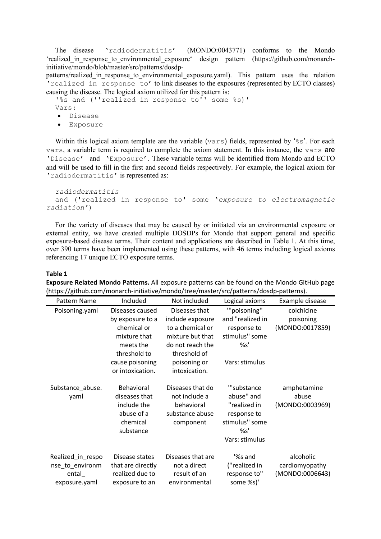The disease 'radiodermatitis' (MONDO:0043771) conforms to the Mondo 'realized in response to environmental exposure' design pattern (https://github.com/monarchinitiative/mondo/blob/master/src/patterns/dosdp-

patterns/realized in response to environmental exposure.yaml). This pattern uses the relation 'realized in response to' to link diseases to the exposures (represented by ECTO classes) causing the disease. The logical axiom utilized for this pattern is:

'%s and (''realized in response to'' some %s)'

Vars:

- Disease
- Exposure

Within this logical axiom template are the variable (vars) fields, represented by ' $\frac{1}{8}$ s'. For each vars, a variable term is required to complete the axiom statement. In this instance, the vars are 'Disease' and 'Exposure'. These variable terms will be identified from Mondo and ECTO and will be used to fill in the first and second fields respectively. For example, the logical axiom for 'radiodermatitis' is represented as:

```
radiodermatitis
  and ('realized in response to' some 'exposure to electromagnetic 
radiation')
```
For the variety of diseases that may be caused by or initiated via an environmental exposure or external entity, we have created multiple DOSDPs for Mondo that support general and specific exposure-based disease terms. Their content and applications are described in Table 1. At this time, over 390 terms have been implemented using these patterns, with 46 terms including logical axioms referencing 17 unique ECTO exposure terms.

#### **Table 1**

| Pattern Name      | Included          | Not included      | Logical axioms        | Example disease |
|-------------------|-------------------|-------------------|-----------------------|-----------------|
| Poisoning.yaml    | Diseases caused   | Diseases that     | "poisoning"           | colchicine      |
|                   | by exposure to a  | include exposure  | and "realized in      | poisoning       |
|                   | chemical or       | to a chemical or  | response to           | (MONDO:0017859) |
|                   | mixture that      | mixture but that  | stimulus" some        |                 |
|                   | meets the         | do not reach the  | %s'                   |                 |
|                   | threshold to      | threshold of      |                       |                 |
|                   | cause poisoning   | poisoning or      | Vars: stimulus        |                 |
|                   | or intoxication.  | intoxication.     |                       |                 |
|                   |                   |                   |                       |                 |
| Substance_abuse.  | Behavioral        | Diseases that do  | "'substance           | amphetamine     |
| yaml              | diseases that     | not include a     | abuse" and            | abuse           |
|                   | include the       | behavioral        | "realized in          | (MONDO:0003969) |
|                   | abuse of a        | substance abuse   | response to           |                 |
|                   | chemical          | component         | stimulus" some        |                 |
|                   | substance         |                   | %s'<br>Vars: stimulus |                 |
|                   |                   |                   |                       |                 |
| Realized_in_respo | Disease states    | Diseases that are | '%s and               | alcoholic       |
| nse_to_environm   | that are directly | not a direct      | ("realized in         | cardiomyopathy  |
| ental             | realized due to   | result of an      | response to"          | (MONDO:0006643) |
| exposure.yaml     | exposure to an    | environmental     | some %s)'             |                 |

**Exposure Related Mondo Patterns.** All exposure patterns can be found on the Mondo GitHub page (https://github.com/monarch-initiative/mondo/tree/master/src/patterns/dosdp-patterns).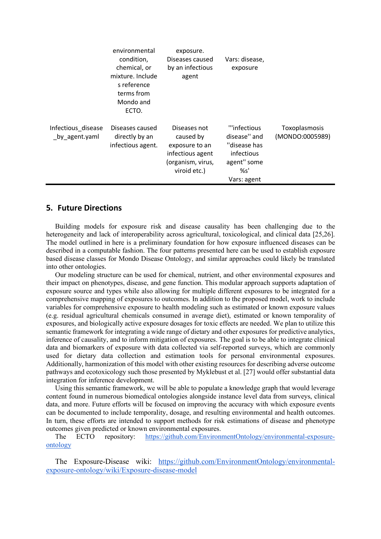|                                      | environmental<br>condition,<br>chemical, or<br>mixture. Include<br>s reference<br>terms from<br>Mondo and<br>ECTO. | exposure.<br>Diseases caused<br>by an infectious<br>agent                                            | Vars: disease,<br>exposure                                                                      |                                  |
|--------------------------------------|--------------------------------------------------------------------------------------------------------------------|------------------------------------------------------------------------------------------------------|-------------------------------------------------------------------------------------------------|----------------------------------|
| Infectious disease<br>_by_agent.yaml | Diseases caused<br>directly by an<br>infectious agent.                                                             | Diseases not<br>caused by<br>exposure to an<br>infectious agent<br>(organism, virus,<br>viroid etc.) | "'infectious<br>disease" and<br>"disease has<br>infectious<br>agent" some<br>%s'<br>Vars: agent | Toxoplasmosis<br>(MONDO:0005989) |

# **5. Future Directions**

Building models for exposure risk and disease causality has been challenging due to the heterogeneity and lack of interoperability across agricultural, toxicological, and clinical data [25,26]. The model outlined in here is a preliminary foundation for how exposure influenced diseases can be described in a computable fashion. The four patterns presented here can be used to establish exposure based disease classes for Mondo Disease Ontology, and similar approaches could likely be translated into other ontologies.

Our modeling structure can be used for chemical, nutrient, and other environmental exposures and their impact on phenotypes, disease, and gene function. This modular approach supports adaptation of exposure source and types while also allowing for multiple different exposures to be integrated for a comprehensive mapping of exposures to outcomes. In addition to the proposed model, work to include variables for comprehensive exposure to health modeling such as estimated or known exposure values (e.g. residual agricultural chemicals consumed in average diet), estimated or known temporality of exposures, and biologically active exposure dosages for toxic effects are needed. We plan to utilize this semantic framework for integrating a wide range of dietary and other exposures for predictive analytics, inference of causality, and to inform mitigation of exposures. The goal is to be able to integrate clinical data and biomarkers of exposure with data collected via self-reported surveys, which are commonly used for dietary data collection and estimation tools for personal environmental exposures. Additionally, harmonization of this model with other existing resources for describing adverse outcome pathways and ecotoxicology such those presented by Myklebust et al. [27] would offer substantial data integration for inference development.

Using this semantic framework, we will be able to populate a knowledge graph that would leverage content found in numerous biomedical ontologies alongside instance level data from surveys, clinical data, and more. Future efforts will be focused on improving the accuracy with which exposure events can be documented to include temporality, dosage, and resulting environmental and health outcomes. In turn, these efforts are intended to support methods for risk estimations of disease and phenotype outcomes given predicted or known environmental exposures.

The ECTO repository: https://github.com/EnvironmentOntology/environmental-exposureontology

The Exposure-Disease wiki: https://github.com/EnvironmentOntology/environmentalexposure-ontology/wiki/Exposure-disease-model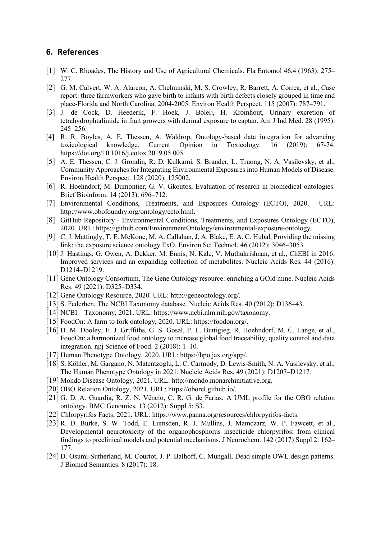# **6. References**

- [1] W. C. Rhoades, The History and Use of Agricultural Chemicals. Fla Entomol 46.4 (1963): 275– 277.
- [2] G. M. Calvert, W. A. Alarcon, A. Chelminski, M. S. Crowley, R. Barrett, A. Correa, et al., Case report: three farmworkers who gave birth to infants with birth defects closely grouped in time and place-Florida and North Carolina, 2004-2005. Environ Health Perspect. 115 (2007): 787–791.
- [3] J. de Cock, D. Heederik, F. Hoek, J. Boleij, H. Kromhout, Urinary excretion of tetrahydrophtalimide in fruit growers with dermal exposure to captan. Am J Ind Med. 28 (1995): 245–256.
- [4] R. R. Boyles, A. E. Thessen, A. Waldrop, Ontology-based data integration for advancing toxicological knowledge. Current Opinion in Toxicology. 16 (2019): 67-74. https://doi.org/10.1016/j.cotox.2019.05.005
- [5] A. E. Thessen, C. J. Grondin, R. D. Kulkarni, S. Brander, L. Truong, N. A. Vasilevsky, et al., Community Approaches for Integrating Environmental Exposures into Human Models of Disease. Environ Health Perspect. 128 (2020): 125002.
- [6] R. Hoehndorf, M. Dumontier, G. V. Gkoutos, Evaluation of research in biomedical ontologies. Brief Bioinform. 14 (2013): 696–712.
- [7] Environmental Conditions, Treatments, and Exposures Ontology (ECTO), 2020. URL: http://www.obofoundry.org/ontology/ecto.html.
- [8] GitHub Repository Environmental Conditions, Treatments, and Exposures Ontology (ECTO), 2020. URL: https://github.com/EnvironmentOntology/environmental-exposure-ontology.
- [9] C. J. Mattingly, T. E. McKone, M. A. Callahan, J. A. Blake, E. A. C. Hubal, Providing the missing link: the exposure science ontology ExO. Environ Sci Technol. 46 (2012): 3046–3053.
- [10] J. Hastings, G. Owen, A. Dekker, M. Ennis, N. Kale, V. Muthukrishnan, et al., ChEBI in 2016: Improved services and an expanding collection of metabolites. Nucleic Acids Res. 44 (2016): D1214–D1219.
- [11] Gene Ontology Consortium, The Gene Ontology resource: enriching a GOld mine. Nucleic Acids Res. 49 (2021): D325–D334.
- [12] Gene Ontology Resource, 2020. URL: http://geneontology.org/.
- [13] S. Federhen, The NCBI Taxonomy database. Nucleic Acids Res. 40 (2012): D136–43.
- [14] NCBI Taxonomy, 2021. URL: https://www.ncbi.nlm.nih.gov/taxonomy.
- [15] FoodOn: A farm to fork ontology, 2020. URL: https://foodon.org/.
- [16] D. M. Dooley, E. J. Griffiths, G. S. Gosal, P. L. Buttigieg, R. Hoehndorf, M. C. Lange, et al., FoodOn: a harmonized food ontology to increase global food traceability, quality control and data integration. npj Science of Food. 2 (2018): 1–10.
- [17] Human Phenotype Ontology, 2020. URL: https://hpo.jax.org/app/.
- [18] S. Köhler, M. Gargano, N. Matentzoglu, L. C. Carmody, D. Lewis-Smith, N. A. Vasilevsky, et al., The Human Phenotype Ontology in 2021. Nucleic Acids Res. 49 (2021): D1207–D1217.
- [19] Mondo Disease Ontology, 2021. URL: http://mondo.monarchinitiative.org.
- [20] OBO Relation Ontology, 2021. URL: https://oborel.github.io/.
- [21] G. D. A. Guardia, R. Z. N. Vêncio, C. R. G. de Farias, A UML profile for the OBO relation ontology. BMC Genomics. 13 (2012): Suppl 5: S3.
- [22] Chlorpyrifos Facts, 2021. URL: https://www.panna.org/resources/chlorpyrifos-facts.
- [23] R. D. Burke, S. W. Todd, E. Lumsden, R. J. Mullins, J. Mamczarz, W. P. Fawcett, et al., Developmental neurotoxicity of the organophosphorus insecticide chlorpyrifos: from clinical findings to preclinical models and potential mechanisms. J Neurochem. 142 (2017) Suppl 2: 162– 177.
- [24] D. Osumi-Sutherland, M. Courtot, J. P. Balhoff, C. Mungall, Dead simple OWL design patterns. J Biomed Semantics. 8 (2017): 18.